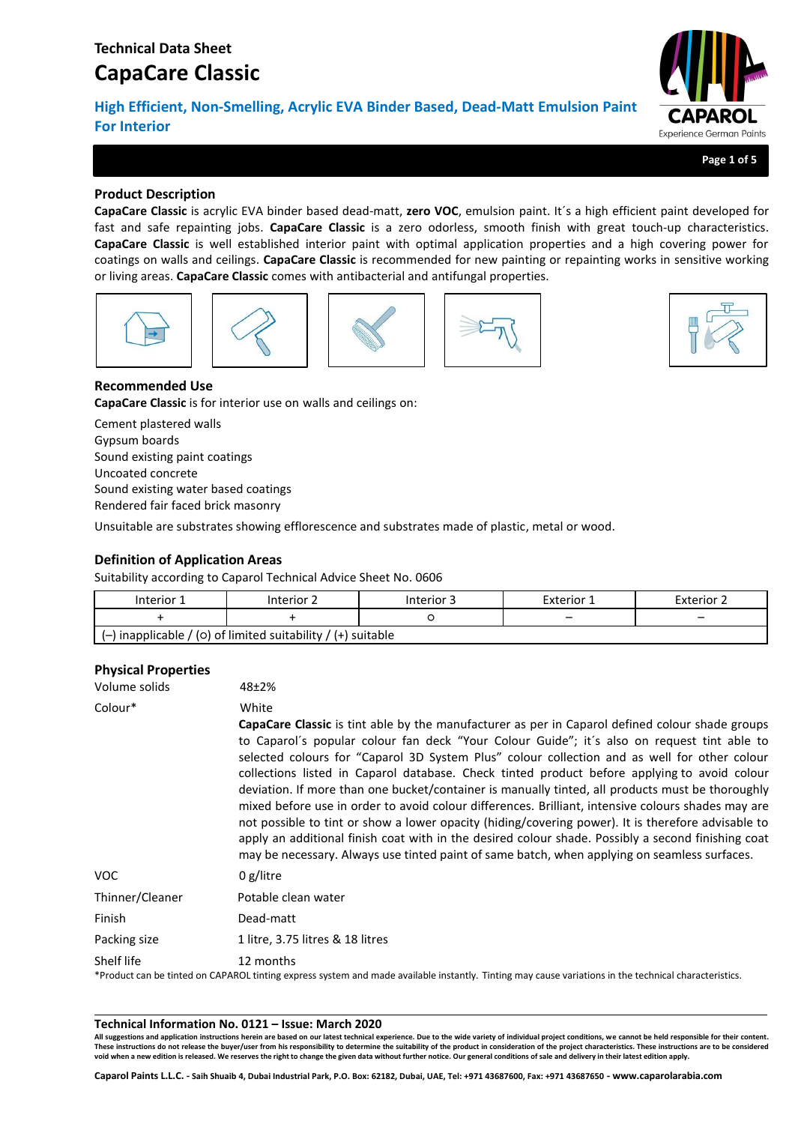# **CapaCare Classic**

**High Efficient, Non-Smelling, Acrylic EVA Binder Based, Dead-Matt Emulsion Paint For Interior**



**Page 1 of 5**

# **Product Description**

**CapaCare Classic** is acrylic EVA binder based dead-matt, **zero VOC**, emulsion paint. It´s a high efficient paint developed for fast and safe repainting jobs. **CapaCare Classic** is a zero odorless, smooth finish with great touch-up characteristics. **CapaCare Classic** is well established interior paint with optimal application properties and a high covering power for coatings on walls and ceilings. **CapaCare Classic** is recommended for new painting or repainting works in sensitive working or living areas. **CapaCare Classic** comes with antibacterial and antifungal properties.











# **Recommended Use**

**CapaCare Classic** is for interior use on walls and ceilings on:

Cement plastered walls Gypsum boards Sound existing paint coatings Uncoated concrete Sound existing water based coatings Rendered fair faced brick masonry

Unsuitable are substrates showing efflorescence and substrates made of plastic, metal or wood.

# **Definition of Application Areas**

Suitability according to Caparol Technical Advice Sheet No. 0606

| Interior 1 | Interior 2                                                     | Interior 3 | Exterior 1 | Exterior 2               |
|------------|----------------------------------------------------------------|------------|------------|--------------------------|
|            |                                                                |            | -          | $\overline{\phantom{0}}$ |
|            | $(-)$ inapplicable / (0) of limited suitability / (+) suitable |            |            |                          |

# **Physical Properties**

| Volume solids   | 48±2%                                                                                                                                                                                                                                                                                                                                                                                                                                                                                                                                                                                                                                                                                                                                                                                                                                                                                                                                |
|-----------------|--------------------------------------------------------------------------------------------------------------------------------------------------------------------------------------------------------------------------------------------------------------------------------------------------------------------------------------------------------------------------------------------------------------------------------------------------------------------------------------------------------------------------------------------------------------------------------------------------------------------------------------------------------------------------------------------------------------------------------------------------------------------------------------------------------------------------------------------------------------------------------------------------------------------------------------|
| Colour*         | White<br><b>CapaCare Classic</b> is tint able by the manufacturer as per in Caparol defined colour shade groups<br>to Caparol's popular colour fan deck "Your Colour Guide"; it's also on request tint able to<br>selected colours for "Caparol 3D System Plus" colour collection and as well for other colour<br>collections listed in Caparol database. Check tinted product before applying to avoid colour<br>deviation. If more than one bucket/container is manually tinted, all products must be thoroughly<br>mixed before use in order to avoid colour differences. Brilliant, intensive colours shades may are<br>not possible to tint or show a lower opacity (hiding/covering power). It is therefore advisable to<br>apply an additional finish coat with in the desired colour shade. Possibly a second finishing coat<br>may be necessary. Always use tinted paint of same batch, when applying on seamless surfaces. |
| VOC.            | 0 $g/l$ itre                                                                                                                                                                                                                                                                                                                                                                                                                                                                                                                                                                                                                                                                                                                                                                                                                                                                                                                         |
| Thinner/Cleaner | Potable clean water                                                                                                                                                                                                                                                                                                                                                                                                                                                                                                                                                                                                                                                                                                                                                                                                                                                                                                                  |
| Finish          | Dead-matt                                                                                                                                                                                                                                                                                                                                                                                                                                                                                                                                                                                                                                                                                                                                                                                                                                                                                                                            |
| Packing size    | 1 litre, 3.75 litres & 18 litres                                                                                                                                                                                                                                                                                                                                                                                                                                                                                                                                                                                                                                                                                                                                                                                                                                                                                                     |
| Shelf life      | 12 months<br>*Product can be tinted on CAPAROL tinting express system and made available instantly. Tinting may cause variations in the technical characteristics.                                                                                                                                                                                                                                                                                                                                                                                                                                                                                                                                                                                                                                                                                                                                                                   |

### **Technical Information No. 0121 – Issue: March 2020**

**All suggestions and application instructions herein are based on our latest technical experience. Due to the wide variety of individual project conditions, we cannot be held responsible for their content.** These instructions do not release the buyer/user from his responsibility to determine the suitability of the product in consideration of the project characteristics. These instructions are to be considered<br>void when a new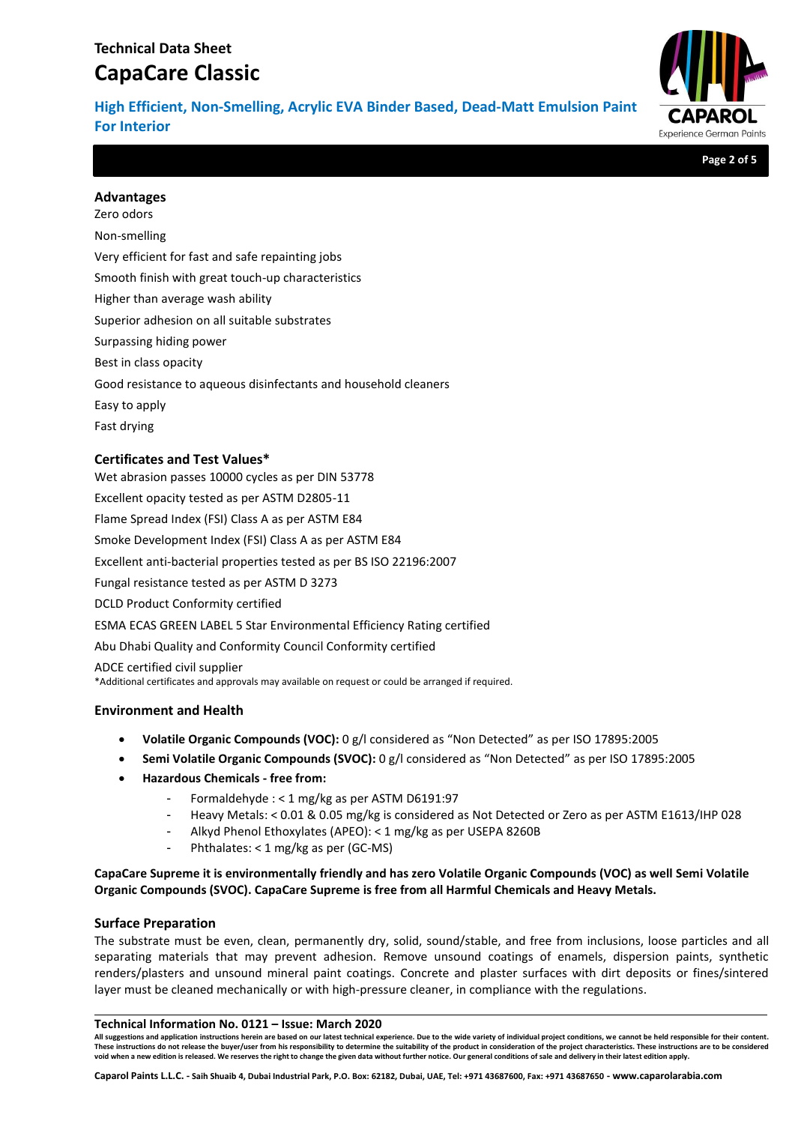# **Technical Data Sheet CapaCare Classic**

**High Efficient, Non-Smelling, Acrylic EVA Binder Based, Dead-Matt Emulsion Paint For Interior**



**Page 2 of 5**

## **Advantages**

Zero odors Non-smelling Very efficient for fast and safe repainting jobs Smooth finish with great touch-up characteristics Higher than average wash ability Superior adhesion on all suitable substrates Surpassing hiding power Best in class opacity Good resistance to aqueous disinfectants and household cleaners Easy to apply Fast drying

# **Certificates and Test Values\***

Wet abrasion passes 10000 cycles as per DIN 53778 Excellent opacity tested as per ASTM D2805-11 Flame Spread Index (FSI) Class A as per ASTM E84 Smoke Development Index (FSI) Class A as per ASTM E84 Excellent anti-bacterial properties tested as per BS ISO 22196:2007 Fungal resistance tested as per ASTM D 3273 DCLD Product Conformity certified ESMA ECAS GREEN LABEL 5 Star Environmental Efficiency Rating certified Abu Dhabi Quality and Conformity Council Conformity certified ADCE certified civil supplier \*Additional certificates and approvals may available on request or could be arranged if required.

## **Environment and Health**

- **Volatile Organic Compounds (VOC):** 0 g/l considered as "Non Detected" as per ISO 17895:2005
- **Semi Volatile Organic Compounds (SVOC):** 0 g/l considered as "Non Detected" as per ISO 17895:2005
- **Hazardous Chemicals - free from:**
	- Formaldehyde : < 1 mg/kg as per ASTM D6191:97
	- Heavy Metals: < 0.01 & 0.05 mg/kg is considered as Not Detected or Zero as per ASTM E1613/IHP 028
	- Alkyd Phenol Ethoxylates (APEO): < 1 mg/kg as per USEPA 8260B
	- Phthalates: < 1 mg/kg as per (GC-MS)

**CapaCare Supreme it is environmentally friendly and has zero Volatile Organic Compounds (VOC) as well Semi Volatile Organic Compounds (SVOC). CapaCare Supreme is free from all Harmful Chemicals and Heavy Metals.**

## **Surface Preparation**

The substrate must be even, clean, permanently dry, solid, sound/stable, and free from inclusions, loose particles and all separating materials that may prevent adhesion. Remove unsound coatings of enamels, dispersion paints, synthetic renders/plasters and unsound mineral paint coatings. Concrete and plaster surfaces with dirt deposits or fines/sintered layer must be cleaned mechanically or with high-pressure cleaner, in compliance with the regulations.

### **Technical Information No. 0121 – Issue: March 2020**

**All suggestions and application instructions herein are based on our latest technical experience. Due to the wide variety of individual project conditions, we cannot be held responsible for their content. These instructions do not release the buyer/user from his responsibility to determine the suitability of the product in consideration of the project characteristics. These instructions are to be considered void when a new edition is released. We reserves the right to change the given data without further notice. Our general conditions of sale and delivery in their latest edition apply.**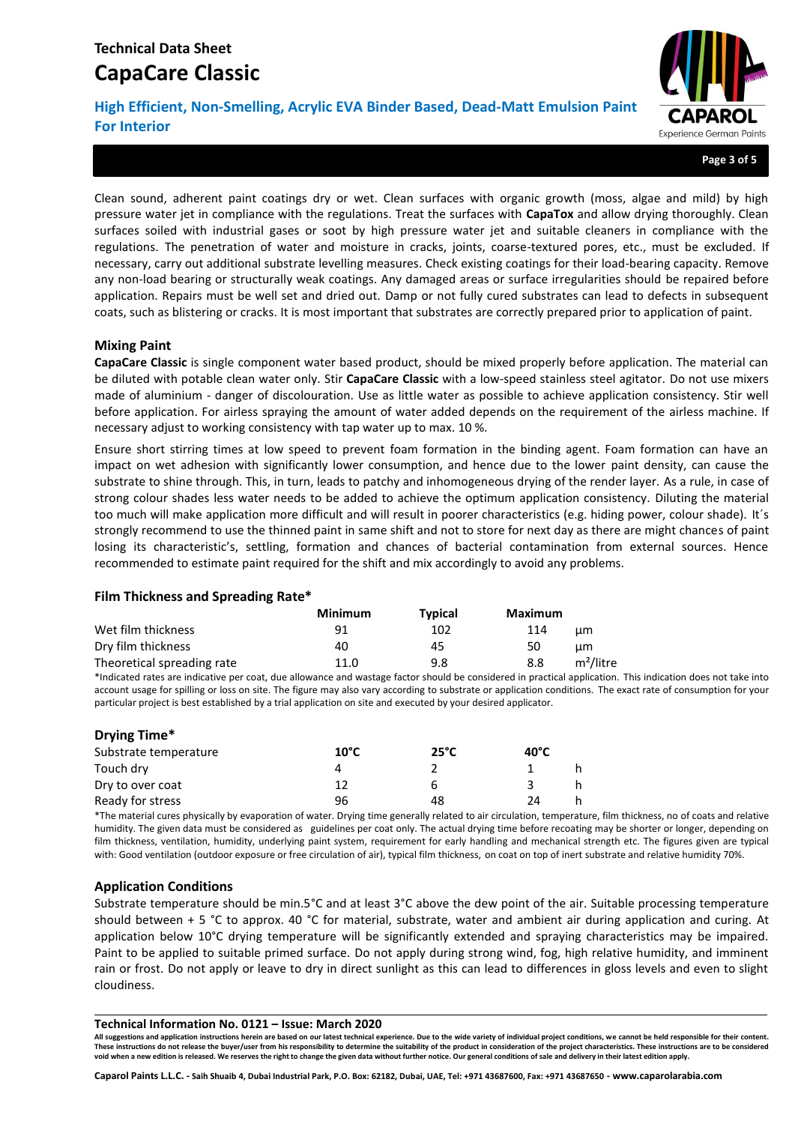# **Technical Data Sheet CapaCare Classic**

**High Efficient, Non-Smelling, Acrylic EVA Binder Based, Dead-Matt Emulsion Paint For Interior**



**Page 3 of 5**

Clean sound, adherent paint coatings dry or wet. Clean surfaces with organic growth (moss, algae and mild) by high pressure water jet in compliance with the regulations. Treat the surfaces with **CapaTox** and allow drying thoroughly. Clean surfaces soiled with industrial gases or soot by high pressure water jet and suitable cleaners in compliance with the regulations. The penetration of water and moisture in cracks, joints, coarse-textured pores, etc., must be excluded. If necessary, carry out additional substrate levelling measures. Check existing coatings for their load-bearing capacity. Remove any non-load bearing or structurally weak coatings. Any damaged areas or surface irregularities should be repaired before application. Repairs must be well set and dried out. Damp or not fully cured substrates can lead to defects in subsequent coats, such as blistering or cracks. It is most important that substrates are correctly prepared prior to application of paint.

### **Mixing Paint**

**CapaCare Classic** is single component water based product, should be mixed properly before application. The material can be diluted with potable clean water only. Stir **CapaCare Classic** with a low-speed stainless steel agitator. Do not use mixers made of aluminium - danger of discolouration. Use as little water as possible to achieve application consistency. Stir well before application. For airless spraying the amount of water added depends on the requirement of the airless machine. If necessary adjust to working consistency with tap water up to max. 10 %.

Ensure short stirring times at low speed to prevent foam formation in the binding agent. Foam formation can have an impact on wet adhesion with significantly lower consumption, and hence due to the lower paint density, can cause the substrate to shine through. This, in turn, leads to patchy and inhomogeneous drying of the render layer. As a rule, in case of strong colour shades less water needs to be added to achieve the optimum application consistency. Diluting the material too much will make application more difficult and will result in poorer characteristics (e.g. hiding power, colour shade). It´s strongly recommend to use the thinned paint in same shift and not to store for next day as there are might chances of paint losing its characteristic's, settling, formation and chances of bacterial contamination from external sources. Hence recommended to estimate paint required for the shift and mix accordingly to avoid any problems.

### **Film Thickness and Spreading Rate\***

|                            | <b>Minimum</b> | <b>Typical</b> | Maximum |                       |
|----------------------------|----------------|----------------|---------|-----------------------|
| Wet film thickness         | 91             | 102            | 114     | цm                    |
| Dry film thickness         | 40             | 45             | 50      | цm                    |
| Theoretical spreading rate | 11.0           | 9.8            | 8.8     | m <sup>2</sup> /litre |

\*Indicated rates are indicative per coat, due allowance and wastage factor should be considered in practical application. This indication does not take into account usage for spilling or loss on site. The figure may also vary according to substrate or application conditions. The exact rate of consumption for your particular project is best established by a trial application on site and executed by your desired applicator.

| Drying Time*          |                |                |                |  |
|-----------------------|----------------|----------------|----------------|--|
| Substrate temperature | $10^{\circ}$ C | $25^{\circ}$ C | $40^{\circ}$ C |  |
| Touch dry             | 4              |                |                |  |
| Dry to over coat      | 12             |                |                |  |
| Ready for stress      | 96             | 48             | 24             |  |

\*The material cures physically by evaporation of water. Drying time generally related to air circulation, temperature, film thickness, no of coats and relative humidity. The given data must be considered as guidelines per coat only. The actual drying time before recoating may be shorter or longer, depending on film thickness, ventilation, humidity, underlying paint system, requirement for early handling and mechanical strength etc. The figures given are typical with: Good ventilation (outdoor exposure or free circulation of air), typical film thickness, on coat on top of inert substrate and relative humidity 70%.

## **Application Conditions**

Substrate temperature should be min.5°C and at least 3°C above the dew point of the air. Suitable processing temperature should between + 5 °C to approx. 40 °C for material, substrate, water and ambient air during application and curing. At application below 10°C drying temperature will be significantly extended and spraying characteristics may be impaired. Paint to be applied to suitable primed surface. Do not apply during strong wind, fog, high relative humidity, and imminent rain or frost. Do not apply or leave to dry in direct sunlight as this can lead to differences in gloss levels and even to slight cloudiness.

#### **Technical Information No. 0121 – Issue: March 2020**

**All suggestions and application instructions herein are based on our latest technical experience. Due to the wide variety of individual project conditions, we cannot be held responsible for their content. These instructions do not release the buyer/user from his responsibility to determine the suitability of the product in consideration of the project characteristics. These instructions are to be considered void when a new edition is released. We reserves the right to change the given data without further notice. Our general conditions of sale and delivery in their latest edition apply.**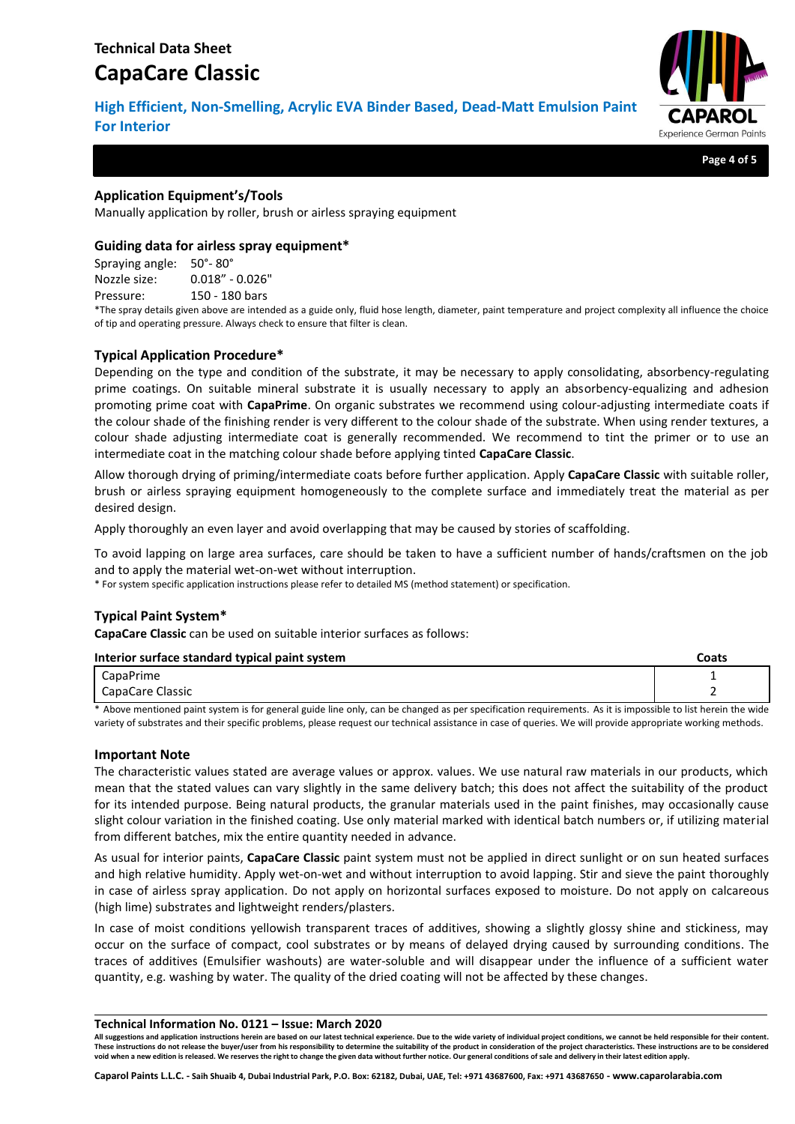# **CapaCare Classic**

**High Efficient, Non-Smelling, Acrylic EVA Binder Based, Dead-Matt Emulsion Paint For Interior**



**Page 4 of 5**

# **Application Equipment's/Tools**

Manually application by roller, brush or airless spraying equipment

# **Guiding data for airless spray equipment\***

Spraying angle: 50°- 80° Nozzle size: 0.018" - 0.026" Pressure: 150 - 180 bars

\*The spray details given above are intended as a guide only, fluid hose length, diameter, paint temperature and project complexity all influence the choice of tip and operating pressure. Always check to ensure that filter is clean.

# **Typical Application Procedure\***

Depending on the type and condition of the substrate, it may be necessary to apply consolidating, absorbency-regulating prime coatings. On suitable mineral substrate it is usually necessary to apply an absorbency-equalizing and adhesion promoting prime coat with **CapaPrime**. On organic substrates we recommend using colour-adjusting intermediate coats if the colour shade of the finishing render is very different to the colour shade of the substrate. When using render textures, a colour shade adjusting intermediate coat is generally recommended. We recommend to tint the primer or to use an intermediate coat in the matching colour shade before applying tinted **CapaCare Classic**.

Allow thorough drying of priming/intermediate coats before further application. Apply **CapaCare Classic** with suitable roller, brush or airless spraying equipment homogeneously to the complete surface and immediately treat the material as per desired design.

Apply thoroughly an even layer and avoid overlapping that may be caused by stories of scaffolding.

To avoid lapping on large area surfaces, care should be taken to have a sufficient number of hands/craftsmen on the job and to apply the material wet-on-wet without interruption.

\* For system specific application instructions please refer to detailed MS (method statement) or specification.

# **Typical Paint System\***

**CapaCare Classic** can be used on suitable interior surfaces as follows:

| Interior surface standard typical paint system | Coats |
|------------------------------------------------|-------|
| CapaPrime                                      |       |
| CapaCare Classic                               |       |

\* Above mentioned paint system is for general guide line only, can be changed as per specification requirements. As it is impossible to list herein the wide variety of substrates and their specific problems, please request our technical assistance in case of queries. We will provide appropriate working methods.

## **Important Note**

The characteristic values stated are average values or approx. values. We use natural raw materials in our products, which mean that the stated values can vary slightly in the same delivery batch; this does not affect the suitability of the product for its intended purpose. Being natural products, the granular materials used in the paint finishes, may occasionally cause slight colour variation in the finished coating. Use only material marked with identical batch numbers or, if utilizing material from different batches, mix the entire quantity needed in advance.

As usual for interior paints, **CapaCare Classic** paint system must not be applied in direct sunlight or on sun heated surfaces and high relative humidity. Apply wet-on-wet and without interruption to avoid lapping. Stir and sieve the paint thoroughly in case of airless spray application. Do not apply on horizontal surfaces exposed to moisture. Do not apply on calcareous (high lime) substrates and lightweight renders/plasters.

In case of moist conditions yellowish transparent traces of additives, showing a slightly glossy shine and stickiness, may occur on the surface of compact, cool substrates or by means of delayed drying caused by surrounding conditions. The traces of additives (Emulsifier washouts) are water-soluble and will disappear under the influence of a sufficient water quantity, e.g. washing by water. The quality of the dried coating will not be affected by these changes.

#### **Technical Information No. 0121 – Issue: March 2020**

**All suggestions and application instructions herein are based on our latest technical experience. Due to the wide variety of individual project conditions, we cannot be held responsible for their content. These instructions do not release the buyer/user from his responsibility to determine the suitability of the product in consideration of the project characteristics. These instructions are to be considered void when a new edition is released. We reserves the right to change the given data without further notice. Our general conditions of sale and delivery in their latest edition apply.**